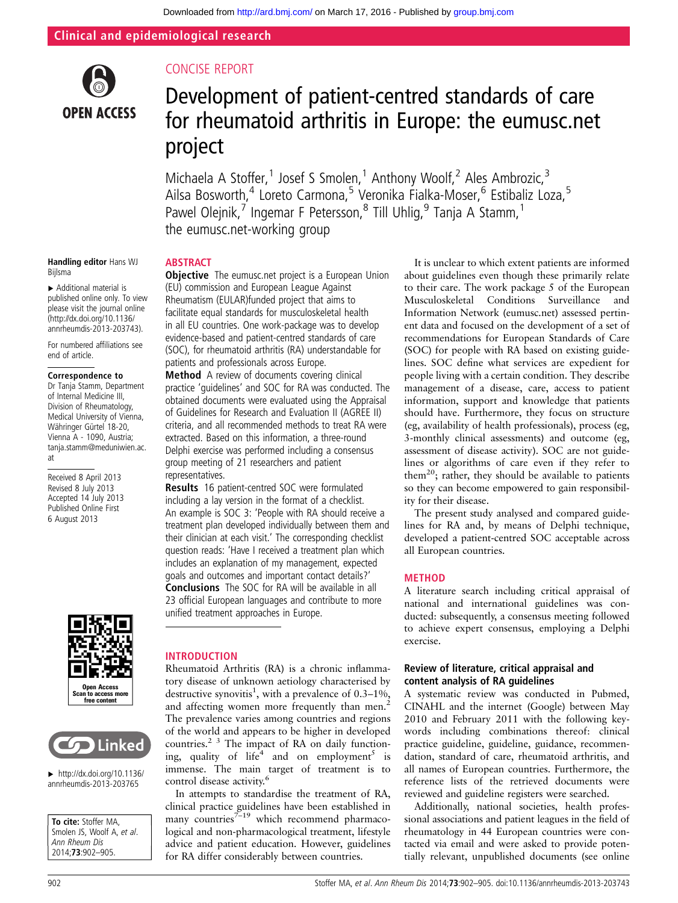Clinical and epidemiological research



# CONCISE REPORT

# Development of patient-centred standards of care for rheumatoid arthritis in Europe: the eumusc.net project

Michaela A Stoffer,<sup>1</sup> Josef S Smolen,<sup>1</sup> Anthony Woolf,<sup>2</sup> Ales Ambrozic,<sup>3</sup> Ailsa Bosworth,<sup>4</sup> Loreto Carmona,<sup>5</sup> Veronika Fialka-Moser,<sup>6</sup> Estibaliz Loza,<sup>5</sup> Pawel Olejnik,<sup>7</sup> Ingemar F Petersson,<sup>8</sup> Till Uhlig,<sup>9</sup> Tanja A Stamm,<sup>1</sup> the eumusc.net-working group

#### Handling editor Hans WJ Bijlsma

▸ Additional material is published online only. To view please visit the journal online [\(http://dx.doi.org/10.1136/](http://dx.doi.org/10.1136/annrheumdis-2013-203743) [annrheumdis-2013-203743\)](http://dx.doi.org/10.1136/annrheumdis-2013-203743).

For numbered affiliations see end of article.

#### Correspondence to

Dr Tanja Stamm, Department of Internal Medicine III, Division of Rheumatology, Medical University of Vienna, Währinger Gürtel 18-20, Vienna A - 1090, Austria; tanja.stamm@meduniwien.ac. at

Received 8 April 2013 Revised 8 July 2013 Accepted 14 July 2013 Published Online First 6 August 2013





 $\blacktriangleright$  [http://dx.doi.org/10.1136/](http://dx.doi.org/10.1136/annrheumdis-2013-203765) [annrheumdis-2013-203765](http://dx.doi.org/10.1136/annrheumdis-2013-203765)

To cite: Stoffer MA, Smolen JS, Woolf A, et al. Ann Rheum Dis 2014;73:902–905.

## **ABSTRACT**

**Objective** The eumusc.net project is a European Union (EU) commission and European League Against Rheumatism (EULAR)funded project that aims to facilitate equal standards for musculoskeletal health in all EU countries. One work-package was to develop evidence-based and patient-centred standards of care (SOC), for rheumatoid arthritis (RA) understandable for patients and professionals across Europe.

Method A review of documents covering clinical practice 'guidelines' and SOC for RA was conducted. The obtained documents were evaluated using the Appraisal of Guidelines for Research and Evaluation II (AGREE II) criteria, and all recommended methods to treat RA were extracted. Based on this information, a three-round Delphi exercise was performed including a consensus group meeting of 21 researchers and patient representatives.

Results 16 patient-centred SOC were formulated including a lay version in the format of a checklist. An example is SOC 3: 'People with RA should receive a treatment plan developed individually between them and their clinician at each visit.' The corresponding checklist question reads: 'Have I received a treatment plan which includes an explanation of my management, expected goals and outcomes and important contact details?' Conclusions The SOC for RA will be available in all 23 official European languages and contribute to more unified treatment approaches in Europe.

## INTRODUCTION

Rheumatoid Arthritis (RA) is a chronic inflammatory disease of unknown aetiology characterised by destructive synovitis<sup>1</sup>, with a prevalence of 0.3–1%, and affecting women more frequently than men.<sup>2</sup> The prevalence varies among countries and regions of the world and appears to be higher in developed countries.<sup>2  $\frac{3}{3}$ </sup> The impact of RA on daily functioning, quality of life<sup>4</sup> and on employment<sup>5</sup> is immense. The main target of treatment is to control disease activity.<sup>6</sup>

In attempts to standardise the treatment of RA, clinical practice guidelines have been established in many countries<sup>7–19</sup> which recommend pharmacological and non-pharmacological treatment, lifestyle advice and patient education. However, guidelines for RA differ considerably between countries.

It is unclear to which extent patients are informed about guidelines even though these primarily relate to their care. The work package 5 of the European Musculoskeletal Conditions Surveillance and Information Network (eumusc.net) assessed pertinent data and focused on the development of a set of recommendations for European Standards of Care (SOC) for people with RA based on existing guidelines. SOC define what services are expedient for people living with a certain condition. They describe management of a disease, care, access to patient information, support and knowledge that patients should have. Furthermore, they focus on structure (eg, availability of health professionals), process (eg, 3-monthly clinical assessments) and outcome (eg, assessment of disease activity). SOC are not guidelines or algorithms of care even if they refer to them<sup>20</sup>; rather, they should be available to patients so they can become empowered to gain responsibility for their disease.

The present study analysed and compared guidelines for RA and, by means of Delphi technique, developed a patient-centred SOC acceptable across all European countries.

## **METHOD**

A literature search including critical appraisal of national and international guidelines was conducted: subsequently, a consensus meeting followed to achieve expert consensus, employing a Delphi exercise.

## Review of literature, critical appraisal and content analysis of RA guidelines

A systematic review was conducted in Pubmed, CINAHL and the internet (Google) between May 2010 and February 2011 with the following keywords including combinations thereof: clinical practice guideline, guideline, guidance, recommendation, standard of care, rheumatoid arthritis, and all names of European countries. Furthermore, the reference lists of the retrieved documents were reviewed and guideline registers were searched.

Additionally, national societies, health professional associations and patient leagues in the field of rheumatology in 44 European countries were contacted via email and were asked to provide potentially relevant, unpublished documents (see online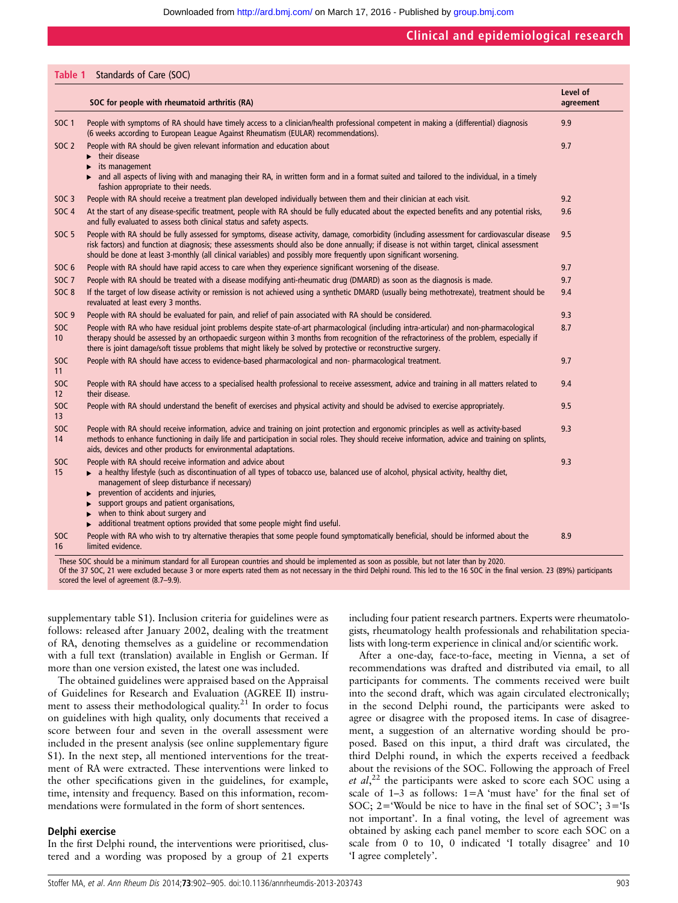Downloaded from<http://ard.bmj.com/>on March 17, 2016 - Published by [group.bmj.com](http://group.bmj.com)

## Clinical and epidemiological research

#### Table 1 Standards of Care (SOC)

|                        | SOC for people with rheumatoid arthritis (RA)                                                                                                                                                                                                                                                                                                                                                                                                              | Level of<br>agreement |
|------------------------|------------------------------------------------------------------------------------------------------------------------------------------------------------------------------------------------------------------------------------------------------------------------------------------------------------------------------------------------------------------------------------------------------------------------------------------------------------|-----------------------|
| <b>SOC 1</b>           | People with symptoms of RA should have timely access to a clinician/health professional competent in making a (differential) diagnosis<br>(6 weeks according to European League Against Rheumatism (EULAR) recommendations).                                                                                                                                                                                                                               | 9.9                   |
| <b>SOC 2</b>           | People with RA should be given relevant information and education about<br>$\blacktriangleright$ their disease<br>its management<br>and all aspects of living with and managing their RA, in written form and in a format suited and tailored to the individual, in a timely<br>fashion appropriate to their needs.                                                                                                                                        | 9.7                   |
| <b>SOC 3</b>           | People with RA should receive a treatment plan developed individually between them and their clinician at each visit.                                                                                                                                                                                                                                                                                                                                      | 9.2                   |
| <b>SOC 4</b>           | At the start of any disease-specific treatment, people with RA should be fully educated about the expected benefits and any potential risks,<br>and fully evaluated to assess both clinical status and safety aspects.                                                                                                                                                                                                                                     | 9.6                   |
| <b>SOC 5</b>           | People with RA should be fully assessed for symptoms, disease activity, damage, comorbidity (including assessment for cardiovascular disease<br>risk factors) and function at diagnosis; these assessments should also be done annually; if disease is not within target, clinical assessment<br>should be done at least 3-monthly (all clinical variables) and possibly more frequently upon significant worsening.                                       | 9.5                   |
| SOC <sub>6</sub>       | People with RA should have rapid access to care when they experience significant worsening of the disease.                                                                                                                                                                                                                                                                                                                                                 | 9.7                   |
| <b>SOC 7</b>           | People with RA should be treated with a disease modifying anti-rheumatic drug (DMARD) as soon as the diagnosis is made.                                                                                                                                                                                                                                                                                                                                    | 9.7                   |
| <b>SOC 8</b>           | If the target of low disease activity or remission is not achieved using a synthetic DMARD (usually being methotrexate), treatment should be<br>revaluated at least every 3 months.                                                                                                                                                                                                                                                                        | 9.4                   |
| <b>SOC 9</b>           | People with RA should be evaluated for pain, and relief of pain associated with RA should be considered.                                                                                                                                                                                                                                                                                                                                                   | 9.3                   |
| SOC<br>10 <sup>°</sup> | People with RA who have residual joint problems despite state-of-art pharmacological (including intra-articular) and non-pharmacological<br>therapy should be assessed by an orthopaedic surgeon within 3 months from recognition of the refractoriness of the problem, especially if<br>there is joint damage/soft tissue problems that might likely be solved by protective or reconstructive surgery.                                                   | 8.7                   |
| SOC<br>11              | People with RA should have access to evidence-based pharmacological and non-pharmacological treatment.                                                                                                                                                                                                                                                                                                                                                     | 9.7                   |
| SOC<br>12              | People with RA should have access to a specialised health professional to receive assessment, advice and training in all matters related to<br>their disease.                                                                                                                                                                                                                                                                                              | 9.4                   |
| <b>SOC</b><br>13       | People with RA should understand the benefit of exercises and physical activity and should be advised to exercise appropriately.                                                                                                                                                                                                                                                                                                                           | 9.5                   |
| SOC<br>14              | People with RA should receive information, advice and training on joint protection and ergonomic principles as well as activity-based<br>methods to enhance functioning in daily life and participation in social roles. They should receive information, advice and training on splints,<br>aids, devices and other products for environmental adaptations.                                                                                               | 9.3                   |
| SOC<br>15              | People with RA should receive information and advice about<br>• a healthy lifestyle (such as discontinuation of all types of tobacco use, balanced use of alcohol, physical activity, healthy diet,<br>management of sleep disturbance if necessary)<br>prevention of accidents and injuries,<br>support groups and patient organisations,<br>when to think about surgery and<br>additional treatment options provided that some people might find useful. | 9.3                   |
| <b>SOC</b><br>16       | People with RA who wish to try alternative therapies that some people found symptomatically beneficial, should be informed about the<br>limited evidence.                                                                                                                                                                                                                                                                                                  | 8.9                   |

Of the 37 SOC, 21 were excluded because 3 or more experts rated them as not necessary in the third Delphi round. This led to the 16 SOC in the final version. 23 (89%) participants scored the level of agreement (8.7–9.9).

supplementary table S1). Inclusion criteria for guidelines were as follows: released after January 2002, dealing with the treatment of RA, denoting themselves as a guideline or recommendation with a full text (translation) available in English or German. If more than one version existed, the latest one was included.

The obtained guidelines were appraised based on the Appraisal of Guidelines for Research and Evaluation (AGREE II) instrument to assess their methodological quality.<sup>21</sup> In order to focus on guidelines with high quality, only documents that received a score between four and seven in the overall assessment were included in the present analysis (see online supplementary figure S1). In the next step, all mentioned interventions for the treatment of RA were extracted. These interventions were linked to the other specifications given in the guidelines, for example, time, intensity and frequency. Based on this information, recommendations were formulated in the form of short sentences.

#### Delphi exercise

In the first Delphi round, the interventions were prioritised, clustered and a wording was proposed by a group of 21 experts including four patient research partners. Experts were rheumatologists, rheumatology health professionals and rehabilitation specialists with long-term experience in clinical and/or scientific work.

After a one-day, face-to-face, meeting in Vienna, a set of recommendations was drafted and distributed via email, to all participants for comments. The comments received were built into the second draft, which was again circulated electronically; in the second Delphi round, the participants were asked to agree or disagree with the proposed items. In case of disagreement, a suggestion of an alternative wording should be proposed. Based on this input, a third draft was circulated, the third Delphi round, in which the experts received a feedback about the revisions of the SOC. Following the approach of Freel et  $al$ ,<sup>22</sup> the participants were asked to score each SOC using a scale of  $1-\overline{3}$  as follows:  $1=A$  'must have' for the final set of SOC; 2='Would be nice to have in the final set of SOC'; 3='Is not important'. In a final voting, the level of agreement was obtained by asking each panel member to score each SOC on a scale from 0 to 10, 0 indicated 'I totally disagree' and 10 'I agree completely'.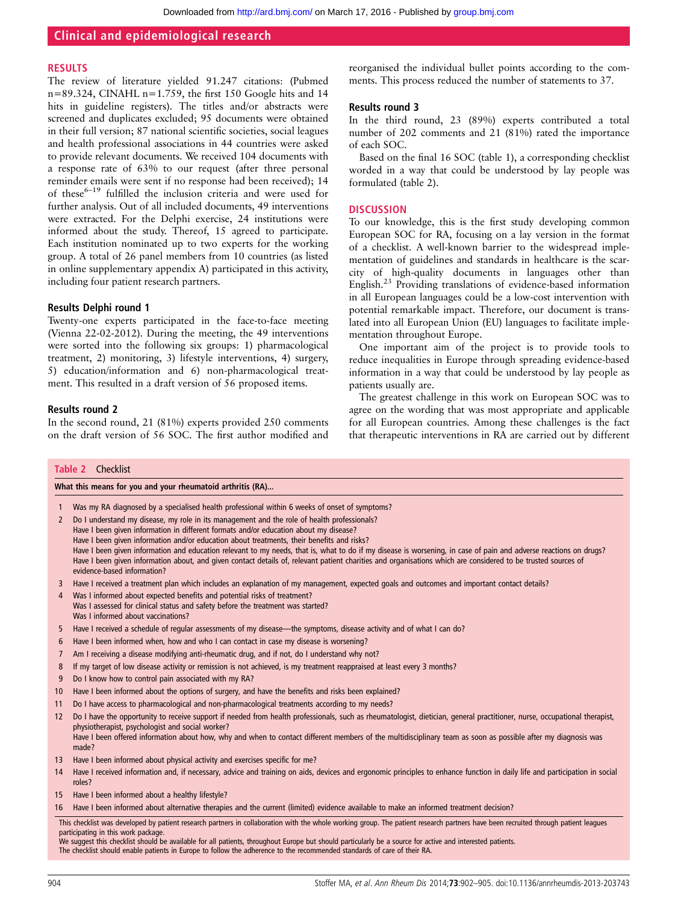## Clinical and epidemiological research

#### RESULTS

The review of literature yielded 91.247 citations: (Pubmed  $n=89.324$ , CINAHL  $n=1.759$ , the first 150 Google hits and 14 hits in guideline registers). The titles and/or abstracts were screened and duplicates excluded; 95 documents were obtained in their full version; 87 national scientific societies, social leagues and health professional associations in 44 countries were asked to provide relevant documents. We received 104 documents with a response rate of 63% to our request (after three personal reminder emails were sent if no response had been received); 14 of these<sup>6-19</sup> fulfilled the inclusion criteria and were used for further analysis. Out of all included documents, 49 interventions were extracted. For the Delphi exercise, 24 institutions were informed about the study. Thereof, 15 agreed to participate. Each institution nominated up to two experts for the working group. A total of 26 panel members from 10 countries (as listed in online supplementary appendix A) participated in this activity, including four patient research partners.

#### Results Delphi round 1

Twenty-one experts participated in the face-to-face meeting (Vienna 22-02-2012). During the meeting, the 49 interventions were sorted into the following six groups: 1) pharmacological treatment, 2) monitoring, 3) lifestyle interventions, 4) surgery, 5) education/information and 6) non-pharmacological treatment. This resulted in a draft version of 56 proposed items.

#### Results round 2

In the second round, 21 (81%) experts provided 250 comments on the draft version of 56 SOC. The first author modified and

reorganised the individual bullet points according to the comments. This process reduced the number of statements to 37.

#### Results round 3

In the third round, 23 (89%) experts contributed a total number of 202 comments and 21 (81%) rated the importance of each SOC.

Based on the final 16 SOC (table 1), a corresponding checklist worded in a way that could be understood by lay people was formulated (table 2).

#### **DISCUSSION**

To our knowledge, this is the first study developing common European SOC for RA, focusing on a lay version in the format of a checklist. A well-known barrier to the widespread implementation of guidelines and standards in healthcare is the scarcity of high-quality documents in languages other than English.23 Providing translations of evidence-based information in all European languages could be a low-cost intervention with potential remarkable impact. Therefore, our document is translated into all European Union (EU) languages to facilitate implementation throughout Europe.

One important aim of the project is to provide tools to reduce inequalities in Europe through spreading evidence-based information in a way that could be understood by lay people as patients usually are.

The greatest challenge in this work on European SOC was to agree on the wording that was most appropriate and applicable for all European countries. Among these challenges is the fact that therapeutic interventions in RA are carried out by different

| What this means for you and your rheumatoid arthritis (RA)<br>Was my RA diagnosed by a specialised health professional within 6 weeks of onset of symptoms?<br>Do I understand my disease, my role in its management and the role of health professionals?<br>Have I been given information in different formats and/or education about my disease?<br>Have I been given information and/or education about treatments, their benefits and risks?<br>Have I been given information and education relevant to my needs, that is, what to do if my disease is worsening, in case of pain and adverse reactions on drugs?<br>Have I been given information about, and given contact details of, relevant patient charities and organisations which are considered to be trusted sources of<br>evidence-based information?<br>Have I received a treatment plan which includes an explanation of my management, expected goals and outcomes and important contact details?<br>Was I informed about expected benefits and potential risks of treatment?<br>Was I assessed for clinical status and safety before the treatment was started? |
|--------------------------------------------------------------------------------------------------------------------------------------------------------------------------------------------------------------------------------------------------------------------------------------------------------------------------------------------------------------------------------------------------------------------------------------------------------------------------------------------------------------------------------------------------------------------------------------------------------------------------------------------------------------------------------------------------------------------------------------------------------------------------------------------------------------------------------------------------------------------------------------------------------------------------------------------------------------------------------------------------------------------------------------------------------------------------------------------------------------------------------------|
|                                                                                                                                                                                                                                                                                                                                                                                                                                                                                                                                                                                                                                                                                                                                                                                                                                                                                                                                                                                                                                                                                                                                      |
|                                                                                                                                                                                                                                                                                                                                                                                                                                                                                                                                                                                                                                                                                                                                                                                                                                                                                                                                                                                                                                                                                                                                      |
|                                                                                                                                                                                                                                                                                                                                                                                                                                                                                                                                                                                                                                                                                                                                                                                                                                                                                                                                                                                                                                                                                                                                      |
|                                                                                                                                                                                                                                                                                                                                                                                                                                                                                                                                                                                                                                                                                                                                                                                                                                                                                                                                                                                                                                                                                                                                      |
|                                                                                                                                                                                                                                                                                                                                                                                                                                                                                                                                                                                                                                                                                                                                                                                                                                                                                                                                                                                                                                                                                                                                      |
|                                                                                                                                                                                                                                                                                                                                                                                                                                                                                                                                                                                                                                                                                                                                                                                                                                                                                                                                                                                                                                                                                                                                      |
|                                                                                                                                                                                                                                                                                                                                                                                                                                                                                                                                                                                                                                                                                                                                                                                                                                                                                                                                                                                                                                                                                                                                      |
|                                                                                                                                                                                                                                                                                                                                                                                                                                                                                                                                                                                                                                                                                                                                                                                                                                                                                                                                                                                                                                                                                                                                      |
|                                                                                                                                                                                                                                                                                                                                                                                                                                                                                                                                                                                                                                                                                                                                                                                                                                                                                                                                                                                                                                                                                                                                      |
|                                                                                                                                                                                                                                                                                                                                                                                                                                                                                                                                                                                                                                                                                                                                                                                                                                                                                                                                                                                                                                                                                                                                      |
| Was I informed about vaccinations?                                                                                                                                                                                                                                                                                                                                                                                                                                                                                                                                                                                                                                                                                                                                                                                                                                                                                                                                                                                                                                                                                                   |
| Have I received a schedule of regular assessments of my disease—the symptoms, disease activity and of what I can do?                                                                                                                                                                                                                                                                                                                                                                                                                                                                                                                                                                                                                                                                                                                                                                                                                                                                                                                                                                                                                 |
| Have I been informed when, how and who I can contact in case my disease is worsening?                                                                                                                                                                                                                                                                                                                                                                                                                                                                                                                                                                                                                                                                                                                                                                                                                                                                                                                                                                                                                                                |
| Am I receiving a disease modifying anti-rheumatic drug, and if not, do I understand why not?                                                                                                                                                                                                                                                                                                                                                                                                                                                                                                                                                                                                                                                                                                                                                                                                                                                                                                                                                                                                                                         |
| If my target of low disease activity or remission is not achieved, is my treatment reappraised at least every 3 months?                                                                                                                                                                                                                                                                                                                                                                                                                                                                                                                                                                                                                                                                                                                                                                                                                                                                                                                                                                                                              |
| Do I know how to control pain associated with my RA?                                                                                                                                                                                                                                                                                                                                                                                                                                                                                                                                                                                                                                                                                                                                                                                                                                                                                                                                                                                                                                                                                 |
| Have I been informed about the options of surgery, and have the benefits and risks been explained?                                                                                                                                                                                                                                                                                                                                                                                                                                                                                                                                                                                                                                                                                                                                                                                                                                                                                                                                                                                                                                   |
| Do I have access to pharmacological and non-pharmacological treatments according to my needs?                                                                                                                                                                                                                                                                                                                                                                                                                                                                                                                                                                                                                                                                                                                                                                                                                                                                                                                                                                                                                                        |
| Do I have the opportunity to receive support if needed from health professionals, such as rheumatologist, dietician, general practitioner, nurse, occupational therapist,<br>physiotherapist, psychologist and social worker?                                                                                                                                                                                                                                                                                                                                                                                                                                                                                                                                                                                                                                                                                                                                                                                                                                                                                                        |
| Have I been offered information about how, why and when to contact different members of the multidisciplinary team as soon as possible after my diagnosis was<br>made?                                                                                                                                                                                                                                                                                                                                                                                                                                                                                                                                                                                                                                                                                                                                                                                                                                                                                                                                                               |
| Have I been informed about physical activity and exercises specific for me?                                                                                                                                                                                                                                                                                                                                                                                                                                                                                                                                                                                                                                                                                                                                                                                                                                                                                                                                                                                                                                                          |
| Have I received information and, if necessary, advice and training on aids, devices and ergonomic principles to enhance function in daily life and participation in social                                                                                                                                                                                                                                                                                                                                                                                                                                                                                                                                                                                                                                                                                                                                                                                                                                                                                                                                                           |
| Have I been informed about a healthy lifestyle?                                                                                                                                                                                                                                                                                                                                                                                                                                                                                                                                                                                                                                                                                                                                                                                                                                                                                                                                                                                                                                                                                      |
|                                                                                                                                                                                                                                                                                                                                                                                                                                                                                                                                                                                                                                                                                                                                                                                                                                                                                                                                                                                                                                                                                                                                      |
|                                                                                                                                                                                                                                                                                                                                                                                                                                                                                                                                                                                                                                                                                                                                                                                                                                                                                                                                                                                                                                                                                                                                      |

The checklist should enable patients in Europe to follow the adherence to the recommended standards of care of their RA.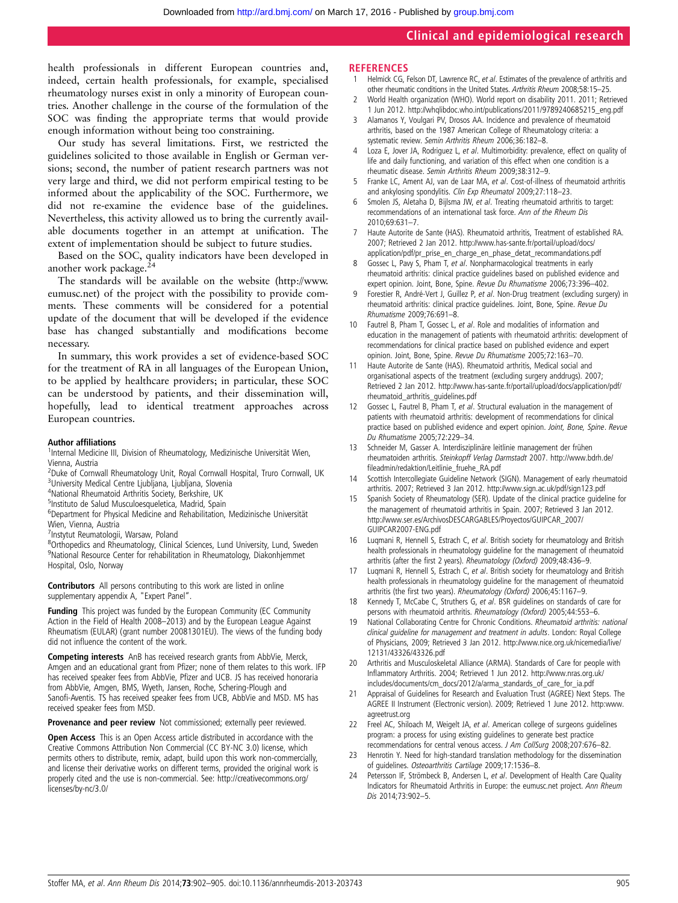## Clinical and epidemiological research

health professionals in different European countries and, indeed, certain health professionals, for example, specialised rheumatology nurses exist in only a minority of European countries. Another challenge in the course of the formulation of the SOC was finding the appropriate terms that would provide enough information without being too constraining.

Our study has several limitations. First, we restricted the guidelines solicited to those available in English or German versions; second, the number of patient research partners was not very large and third, we did not perform empirical testing to be informed about the applicability of the SOC. Furthermore, we did not re-examine the evidence base of the guidelines. Nevertheless, this activity allowed us to bring the currently available documents together in an attempt at unification. The extent of implementation should be subject to future studies.

Based on the SOC, quality indicators have been developed in another work package.<sup>2</sup>

The standards will be available on the website [\(http://www.](http://www.eumusc.net) [eumusc.net\)](http://www.eumusc.net) of the project with the possibility to provide comments. These comments will be considered for a potential update of the document that will be developed if the evidence base has changed substantially and modifications become necessary.

In summary, this work provides a set of evidence-based SOC for the treatment of RA in all languages of the European Union, to be applied by healthcare providers; in particular, these SOC can be understood by patients, and their dissemination will, hopefully, lead to identical treatment approaches across European countries.

#### Author affiliations <sup>1</sup>

<sup>1</sup>Internal Medicine III, Division of Rheumatology, Medizinische Universität Wien, Vienna, Austria

- <sup>2</sup>Duke of Cornwall Rheumatology Unit, Royal Cornwall Hospital, Truro Cornwall, UK <sup>3</sup>University Medical Centre Ljubljana, Ljubljana, Slovenia
- 4 National Rheumatoid Arthritis Society, Berkshire, UK
- <sup>5</sup>Instituto de Salud Musculoesqueletica, Madrid, Spain
- 6 Department for Physical Medicine and Rehabilitation, Medizinische Universität Wien, Vienna, Austria
- 7 Instytut Reumatologii, Warsaw, Poland

8 Orthopedics and Rheumatology, Clinical Sciences, Lund University, Lund, Sweden 9 National Resource Center for rehabilitation in Rheumatology, Diakonhjemmet Hospital, Oslo, Norway

Contributors All persons contributing to this work are listed in online supplementary appendix A, "Expert Panel".

Funding This project was funded by the European Community (EC Community Action in the Field of Health 2008–2013) and by the European League Against Rheumatism (EULAR) (grant number 20081301EU). The views of the funding body did not influence the content of the work.

Competing interests AnB has received research grants from AbbVie, Merck, Amgen and an educational grant from Pfizer; none of them relates to this work. IFP has received speaker fees from AbbVie, Pfizer and UCB. JS has received honoraria from AbbVie, Amgen, BMS, Wyeth, Jansen, Roche, Schering-Plough and Sanofi-Aventis. TS has received speaker fees from UCB, AbbVie and MSD. MS has received speaker fees from MSD.

Provenance and peer review Not commissioned; externally peer reviewed.

Open Access This is an Open Access article distributed in accordance with the Creative Commons Attribution Non Commercial (CC BY-NC 3.0) license, which permits others to distribute, remix, adapt, build upon this work non-commercially, and license their derivative works on different terms, provided the original work is properly cited and the use is non-commercial. See: http://creativecommons.org/ licenses/by-nc/3.0/

#### **REFERENCES**

- 1 Helmick CG, Felson DT, Lawrence RC, et al. Estimates of the prevalence of arthritis and other rheumatic conditions in the United States. Arthritis Rheum 2008;58:15–25.
- 2 World Health organization (WHO). World report on disability 2011. 2011; Retrieved 1 Jun 2012. [http://whqlibdoc.who.int/publications/2011/9789240685215\\_eng.pdf](http://whqlibdoc.who.int/publications/2011/9789240685215_eng.pdf)
- 3 Alamanos Y, Voulgari PV, Drosos AA. Incidence and prevalence of rheumatoid arthritis, based on the 1987 American College of Rheumatology criteria: a systematic review. Semin Arthritis Rheum 2006;36:182–8.
- 4 Loza E, Jover JA, Rodriguez L, et al. Multimorbidity: prevalence, effect on quality of life and daily functioning, and variation of this effect when one condition is a rheumatic disease. Semin Arthritis Rheum 2009;38:312–9.
- 5 Franke LC, Ament AJ, van de Laar MA, et al. Cost-of-illness of rheumatoid arthritis and ankylosing spondylitis. Clin Exp Rheumatol 2009;27:118–23.
- 6 Smolen JS, Aletaha D, Bijlsma JW, et al. Treating rheumatoid arthritis to target: recommendations of an international task force. Ann of the Rheum Dis 2010;69:631–7.
- 7 Haute Autorite de Sante (HAS). Rheumatoid arthritis, Treatment of established RA. 2007; Retrieved 2 Jan 2012. [http://www.has-sante.fr/portail/upload/docs/](http://www.has-sante.fr/portail/upload/docs/application/pdf/pr_prise_en_charge_en_phase_detat_recommandations.pdf) [application/pdf/pr\\_prise\\_en\\_charge\\_en\\_phase\\_detat\\_recommandations.pdf](http://www.has-sante.fr/portail/upload/docs/application/pdf/pr_prise_en_charge_en_phase_detat_recommandations.pdf)
- 8 Gossec L, Pavy S, Pham T, et al. Nonpharmacological treatments in early rheumatoid arthritis: clinical practice guidelines based on published evidence and expert opinion. Joint, Bone, Spine. Revue Du Rhumatisme 2006;73:396–402.
- Forestier R, André-Vert J, Guillez P, et al. Non-Drug treatment (excluding surgery) in rheumatoid arthritis: clinical practice guidelines. Joint, Bone, Spine. Revue Du Rhumatisme 2009;76:691–8.
- 10 Fautrel B, Pham T, Gossec L, et al. Role and modalities of information and education in the management of patients with rheumatoid arthritis: development of recommendations for clinical practice based on published evidence and expert opinion. Joint, Bone, Spine. Revue Du Rhumatisme 2005;72:163–70.
- 11 Haute Autorite de Sante (HAS). Rheumatoid arthritis, Medical social and organisational aspects of the treatment (excluding surgery anddrugs). 2007; Retrieved 2 Jan 2012. [http://www.has-sante.fr/portail/upload/docs/application/pdf/](http://www.has-sante.fr/portail/upload/docs/application/pdf/rheumatoid_arthritis_guidelines.pdf) [rheumatoid\\_arthritis\\_guidelines.pdf](http://www.has-sante.fr/portail/upload/docs/application/pdf/rheumatoid_arthritis_guidelines.pdf)
- 12 Gossec L, Fautrel B, Pham T, et al. Structural evaluation in the management of patients with rheumatoid arthritis: development of recommendations for clinical practice based on published evidence and expert opinion. Joint, Bone, Spine. Revue Du Rhumatisme 2005;72:229–34.
- Schneider M, Gasser A. Interdisziplinäre leitlinie management der frühen rheumatoiden arthritis. Steinkopff Verlag Darmstadt 2007. http://www.bdrh.de/ fileadmin/redaktion/Leitlinie\_fruehe\_RA.pdf
- 14 Scottish Intercollegiate Guideline Network (SIGN). Management of early rheumatoid arthritis. 2007; Retrieved 3 Jan 2012.<http://www.sign.ac.uk/pdf/sign123.pdf>
- Spanish Society of Rheumatology (SER). Update of the clinical practice guideline for the management of rheumatoid arthritis in Spain. 2007; Retrieved 3 Jan 2012. [http://www.ser.es/ArchivosDESCARGABLES/Proyectos/GUIPCAR\\_2007/](http://www.ser.es/ArchivosDESCARGABLES/Proyectos/GUIPCAR_2007/GUIPCAR2007-ENG.pdf) [GUIPCAR2007-ENG.pdf](http://www.ser.es/ArchivosDESCARGABLES/Proyectos/GUIPCAR_2007/GUIPCAR2007-ENG.pdf)
- 16 Luqmani R, Hennell S, Estrach C, et al. British society for rheumatology and British health professionals in rheumatology guideline for the management of rheumatoid arthritis (after the first 2 years). Rheumatology (Oxford) 2009;48:436–9.
- 17 Luqmani R, Hennell S, Estrach C, et al. British society for rheumatology and British health professionals in rheumatology guideline for the management of rheumatoid arthritis (the first two years). Rheumatology (Oxford) 2006;45:1167–9.
- 18 Kennedy T, McCabe C, Struthers G, et al. BSR guidelines on standards of care for persons with rheumatoid arthritis. Rheumatology (Oxford) 2005;44:553–6.
- 19 National Collaborating Centre for Chronic Conditions. Rheumatoid arthritis: national clinical guideline for management and treatment in adults. London: Royal College of Physicians, 2009; Retrieved 3 Jan 2012. [http://www.nice.org.uk/nicemedia/live/](http://www.nice.org.uk/nicemedia/live/12131/43326/43326.pdf) [12131/43326/43326.pdf](http://www.nice.org.uk/nicemedia/live/12131/43326/43326.pdf)
- 20 Arthritis and Musculoskeletal Alliance (ARMA). Standards of Care for people with Inflammatory Arthritis. 2004; Retrieved 1 Jun 2012. [http://www.nras.org.uk/](http://www.nras.org.uk/includes/documents/cm_docs/2012/a/arma_standards_of_care_for_ia.pdf) [includes/documents/cm\\_docs/2012/a/arma\\_standards\\_of\\_care\\_for\\_ia.pdf](http://www.nras.org.uk/includes/documents/cm_docs/2012/a/arma_standards_of_care_for_ia.pdf)
- 21 Appraisal of Guidelines for Research and Evaluation Trust (AGREE) Next Steps. The AGREE II Instrument (Electronic version). 2009; Retrieved 1 June 2012. [http:www.](http:www.agreetrust.org) [agreetrust.org](http:www.agreetrust.org)
- 22 Freel AC, Shiloach M, Weigelt JA, et al. American college of surgeons guidelines program: a process for using existing guidelines to generate best practice recommendations for central venous access. J Am CollSurg 2008;207:676–82.
- Henrotin Y. Need for high-standard translation methodology for the dissemination of guidelines. Osteoarthritis Cartilage 2009;17:1536–8.
- 24 Petersson IF, Strömbeck B, Andersen L, et al. Development of Health Care Quality Indicators for Rheumatoid Arthritis in Europe: the eumusc.net project. Ann Rheum Dis 2014;73:902–5.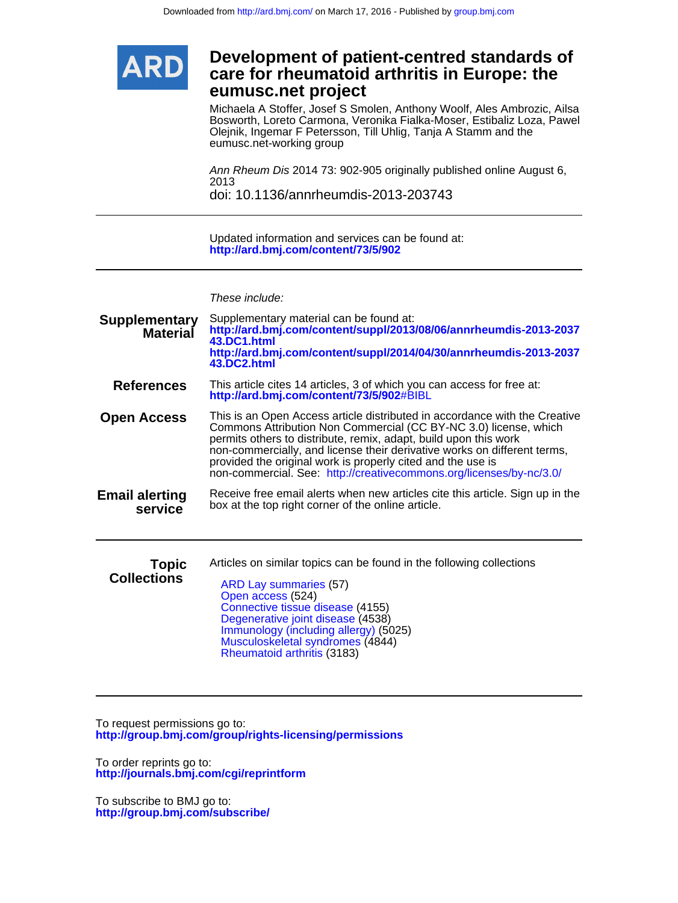

# **eumusc.net project care for rheumatoid arthritis in Europe: the Development of patient-centred standards of**

eumusc.net-working group Olejnik, Ingemar F Petersson, Till Uhlig, Tanja A Stamm and the Bosworth, Loreto Carmona, Veronika Fialka-Moser, Estibaliz Loza, Pawel Michaela A Stoffer, Josef S Smolen, Anthony Woolf, Ales Ambrozic, Ailsa

doi: 10.1136/annrheumdis-2013-203743 2013 Ann Rheum Dis 2014 73: 902-905 originally published online August 6,

**<http://ard.bmj.com/content/73/5/902>** Updated information and services can be found at:

These include:

| <b>Supplementary</b><br><b>Material</b> | Supplementary material can be found at:<br>http://ard.bmj.com/content/suppl/2013/08/06/annrheumdis-2013-2037<br>43.DC1.html<br>http://ard.bmj.com/content/suppl/2014/04/30/annrheumdis-2013-2037<br>43.DC2.html                                                                                                                                                                                                                      |
|-----------------------------------------|--------------------------------------------------------------------------------------------------------------------------------------------------------------------------------------------------------------------------------------------------------------------------------------------------------------------------------------------------------------------------------------------------------------------------------------|
| <b>References</b>                       | This article cites 14 articles, 3 of which you can access for free at:<br>http://ard.bmj.com/content/73/5/902#BIBL                                                                                                                                                                                                                                                                                                                   |
| <b>Open Access</b>                      | This is an Open Access article distributed in accordance with the Creative<br>Commons Attribution Non Commercial (CC BY-NC 3.0) license, which<br>permits others to distribute, remix, adapt, build upon this work<br>non-commercially, and license their derivative works on different terms,<br>provided the original work is properly cited and the use is<br>non-commercial. See: http://creativecommons.org/licenses/by-nc/3.0/ |
| <b>Email alerting</b><br>service        | Receive free email alerts when new articles cite this article. Sign up in the<br>box at the top right corner of the online article.                                                                                                                                                                                                                                                                                                  |
| <b>Topic</b><br><b>Collections</b>      | Articles on similar topics can be found in the following collections<br><b>ARD Lay summaries (57)</b><br>Open access (524)<br>Connective tissue disease (4155)<br>Degenerative joint disease (4538)<br>Immunology (including allergy) (5025)<br>Musculoskeletal syndromes (4844)<br>Rheumatoid arthritis (3183)                                                                                                                      |

**<http://group.bmj.com/group/rights-licensing/permissions>** To request permissions go to:

**<http://journals.bmj.com/cgi/reprintform>** To order reprints go to:

**<http://group.bmj.com/subscribe/>** To subscribe to BMJ go to: